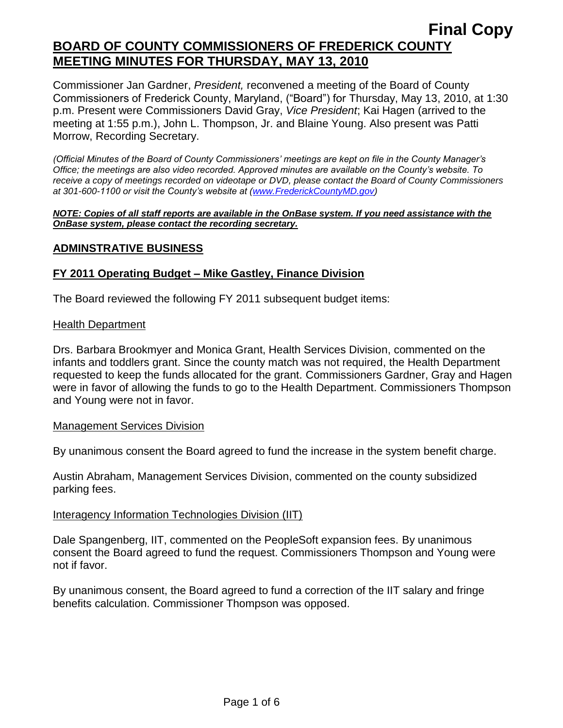Commissioner Jan Gardner, *President,* reconvened a meeting of the Board of County Commissioners of Frederick County, Maryland, ("Board") for Thursday, May 13, 2010, at 1:30 p.m. Present were Commissioners David Gray, *Vice President*; Kai Hagen (arrived to the meeting at 1:55 p.m.), John L. Thompson, Jr. and Blaine Young. Also present was Patti Morrow, Recording Secretary.

*(Official Minutes of the Board of County Commissioners' meetings are kept on file in the County Manager's Office; the meetings are also video recorded. Approved minutes are available on the County's website. To receive a copy of meetings recorded on videotape or DVD, please contact the Board of County Commissioners at 301-600-1100 or visit the County's website at [\(www.FrederickCountyMD.gov\)](http://www.frederickcountymd.gov/)*

#### *NOTE: Copies of all staff reports are available in the OnBase system. If you need assistance with the OnBase system, please contact the recording secretary.*

# **ADMINSTRATIVE BUSINESS**

# **FY 2011 Operating Budget – Mike Gastley, Finance Division**

The Board reviewed the following FY 2011 subsequent budget items:

# Health Department

Drs. Barbara Brookmyer and Monica Grant, Health Services Division, commented on the infants and toddlers grant. Since the county match was not required, the Health Department requested to keep the funds allocated for the grant. Commissioners Gardner, Gray and Hagen were in favor of allowing the funds to go to the Health Department. Commissioners Thompson and Young were not in favor.

### Management Services Division

By unanimous consent the Board agreed to fund the increase in the system benefit charge.

Austin Abraham, Management Services Division, commented on the county subsidized parking fees.

# Interagency Information Technologies Division (IIT)

Dale Spangenberg, IIT, commented on the PeopleSoft expansion fees. By unanimous consent the Board agreed to fund the request. Commissioners Thompson and Young were not if favor.

By unanimous consent, the Board agreed to fund a correction of the IIT salary and fringe benefits calculation. Commissioner Thompson was opposed.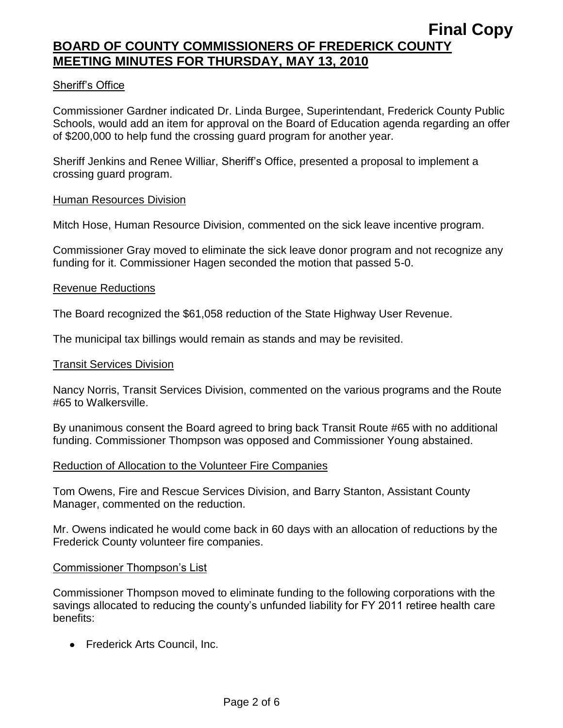# **BOARD OF COUNTY COMMISSIONERS OF FREDERICK COUNTY MEETING MINUTES FOR THURSDAY, MAY 13, 2010**

# Sheriff's Office

Commissioner Gardner indicated Dr. Linda Burgee, Superintendant, Frederick County Public Schools, would add an item for approval on the Board of Education agenda regarding an offer of \$200,000 to help fund the crossing guard program for another year.

Sheriff Jenkins and Renee Williar, Sheriff's Office, presented a proposal to implement a crossing guard program.

### Human Resources Division

Mitch Hose, Human Resource Division, commented on the sick leave incentive program.

Commissioner Gray moved to eliminate the sick leave donor program and not recognize any funding for it. Commissioner Hagen seconded the motion that passed 5-0.

#### Revenue Reductions

The Board recognized the \$61,058 reduction of the State Highway User Revenue.

The municipal tax billings would remain as stands and may be revisited.

#### Transit Services Division

Nancy Norris, Transit Services Division, commented on the various programs and the Route #65 to Walkersville.

By unanimous consent the Board agreed to bring back Transit Route #65 with no additional funding. Commissioner Thompson was opposed and Commissioner Young abstained.

### Reduction of Allocation to the Volunteer Fire Companies

Tom Owens, Fire and Rescue Services Division, and Barry Stanton, Assistant County Manager, commented on the reduction.

Mr. Owens indicated he would come back in 60 days with an allocation of reductions by the Frederick County volunteer fire companies.

### Commissioner Thompson's List

Commissioner Thompson moved to eliminate funding to the following corporations with the savings allocated to reducing the county's unfunded liability for FY 2011 retiree health care benefits:

• Frederick Arts Council, Inc.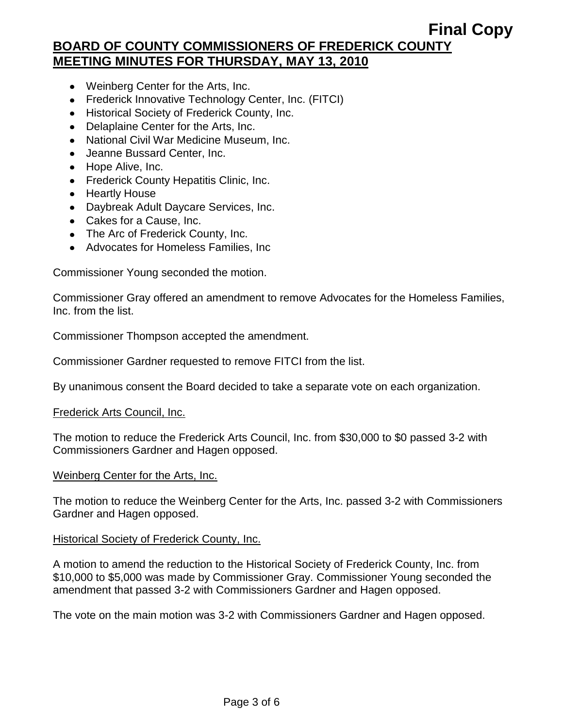# **Final Copy**

# **BOARD OF COUNTY COMMISSIONERS OF FREDERICK COUNTY MEETING MINUTES FOR THURSDAY, MAY 13, 2010**

- Weinberg Center for the Arts, Inc.
- Frederick Innovative Technology Center, Inc. (FITCI)
- Historical Society of Frederick County, Inc.
- Delaplaine Center for the Arts, Inc.
- National Civil War Medicine Museum, Inc.
- Jeanne Bussard Center, Inc.
- Hope Alive, Inc.
- Frederick County Hepatitis Clinic, Inc.
- Heartly House
- Daybreak Adult Daycare Services, Inc.
- Cakes for a Cause, Inc.
- The Arc of Frederick County, Inc.
- Advocates for Homeless Families, Inc

Commissioner Young seconded the motion.

Commissioner Gray offered an amendment to remove Advocates for the Homeless Families, Inc. from the list.

Commissioner Thompson accepted the amendment.

Commissioner Gardner requested to remove FITCI from the list.

By unanimous consent the Board decided to take a separate vote on each organization.

### Frederick Arts Council, Inc.

The motion to reduce the Frederick Arts Council, Inc. from \$30,000 to \$0 passed 3-2 with Commissioners Gardner and Hagen opposed.

### Weinberg Center for the Arts, Inc.

The motion to reduce the Weinberg Center for the Arts, Inc. passed 3-2 with Commissioners Gardner and Hagen opposed.

### Historical Society of Frederick County, Inc.

A motion to amend the reduction to the Historical Society of Frederick County, Inc. from \$10,000 to \$5,000 was made by Commissioner Gray. Commissioner Young seconded the amendment that passed 3-2 with Commissioners Gardner and Hagen opposed.

The vote on the main motion was 3-2 with Commissioners Gardner and Hagen opposed.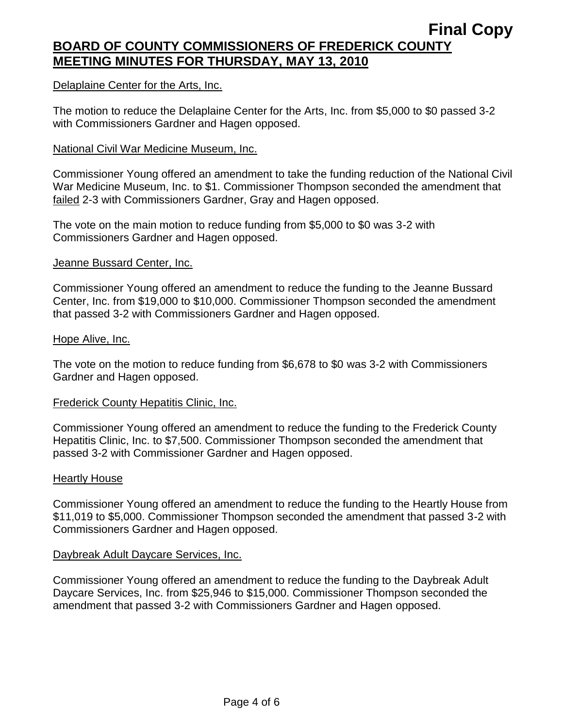# **BOARD OF COUNTY COMMISSIONERS OF FREDERICK COUNTY MEETING MINUTES FOR THURSDAY, MAY 13, 2010**

### Delaplaine Center for the Arts, Inc.

The motion to reduce the Delaplaine Center for the Arts, Inc. from \$5,000 to \$0 passed 3-2 with Commissioners Gardner and Hagen opposed.

### National Civil War Medicine Museum, Inc.

Commissioner Young offered an amendment to take the funding reduction of the National Civil War Medicine Museum, Inc. to \$1. Commissioner Thompson seconded the amendment that failed 2-3 with Commissioners Gardner, Gray and Hagen opposed.

The vote on the main motion to reduce funding from \$5,000 to \$0 was 3-2 with Commissioners Gardner and Hagen opposed.

# **Jeanne Bussard Center, Inc.**

Commissioner Young offered an amendment to reduce the funding to the Jeanne Bussard Center, Inc. from \$19,000 to \$10,000. Commissioner Thompson seconded the amendment that passed 3-2 with Commissioners Gardner and Hagen opposed.

### Hope Alive, Inc.

The vote on the motion to reduce funding from \$6,678 to \$0 was 3-2 with Commissioners Gardner and Hagen opposed.

### Frederick County Hepatitis Clinic, Inc.

Commissioner Young offered an amendment to reduce the funding to the Frederick County Hepatitis Clinic, Inc. to \$7,500. Commissioner Thompson seconded the amendment that passed 3-2 with Commissioner Gardner and Hagen opposed.

### Heartly House

Commissioner Young offered an amendment to reduce the funding to the Heartly House from \$11,019 to \$5,000. Commissioner Thompson seconded the amendment that passed 3-2 with Commissioners Gardner and Hagen opposed.

### Daybreak Adult Daycare Services, Inc.

Commissioner Young offered an amendment to reduce the funding to the Daybreak Adult Daycare Services, Inc. from \$25,946 to \$15,000. Commissioner Thompson seconded the amendment that passed 3-2 with Commissioners Gardner and Hagen opposed.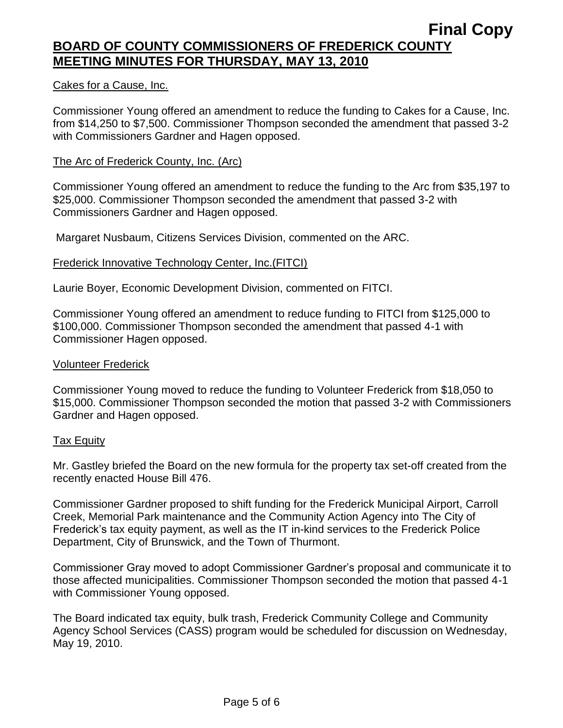# **BOARD OF COUNTY COMMISSIONERS OF FREDERICK COUNTY MEETING MINUTES FOR THURSDAY, MAY 13, 2010**

# Cakes for a Cause, Inc.

Commissioner Young offered an amendment to reduce the funding to Cakes for a Cause, Inc. from \$14,250 to \$7,500. Commissioner Thompson seconded the amendment that passed 3-2 with Commissioners Gardner and Hagen opposed.

### The Arc of Frederick County, Inc. (Arc)

Commissioner Young offered an amendment to reduce the funding to the Arc from \$35,197 to \$25,000. Commissioner Thompson seconded the amendment that passed 3-2 with Commissioners Gardner and Hagen opposed.

Margaret Nusbaum, Citizens Services Division, commented on the ARC.

# Frederick Innovative Technology Center, Inc.(FITCI)

Laurie Boyer, Economic Development Division, commented on FITCI.

Commissioner Young offered an amendment to reduce funding to FITCI from \$125,000 to \$100,000. Commissioner Thompson seconded the amendment that passed 4-1 with Commissioner Hagen opposed.

### Volunteer Frederick

Commissioner Young moved to reduce the funding to Volunteer Frederick from \$18,050 to \$15,000. Commissioner Thompson seconded the motion that passed 3-2 with Commissioners Gardner and Hagen opposed.

### Tax Equity

Mr. Gastley briefed the Board on the new formula for the property tax set-off created from the recently enacted House Bill 476.

Commissioner Gardner proposed to shift funding for the Frederick Municipal Airport, Carroll Creek, Memorial Park maintenance and the Community Action Agency into The City of Frederick's tax equity payment, as well as the IT in-kind services to the Frederick Police Department, City of Brunswick, and the Town of Thurmont.

Commissioner Gray moved to adopt Commissioner Gardner's proposal and communicate it to those affected municipalities. Commissioner Thompson seconded the motion that passed 4-1 with Commissioner Young opposed.

The Board indicated tax equity, bulk trash, Frederick Community College and Community Agency School Services (CASS) program would be scheduled for discussion on Wednesday, May 19, 2010.